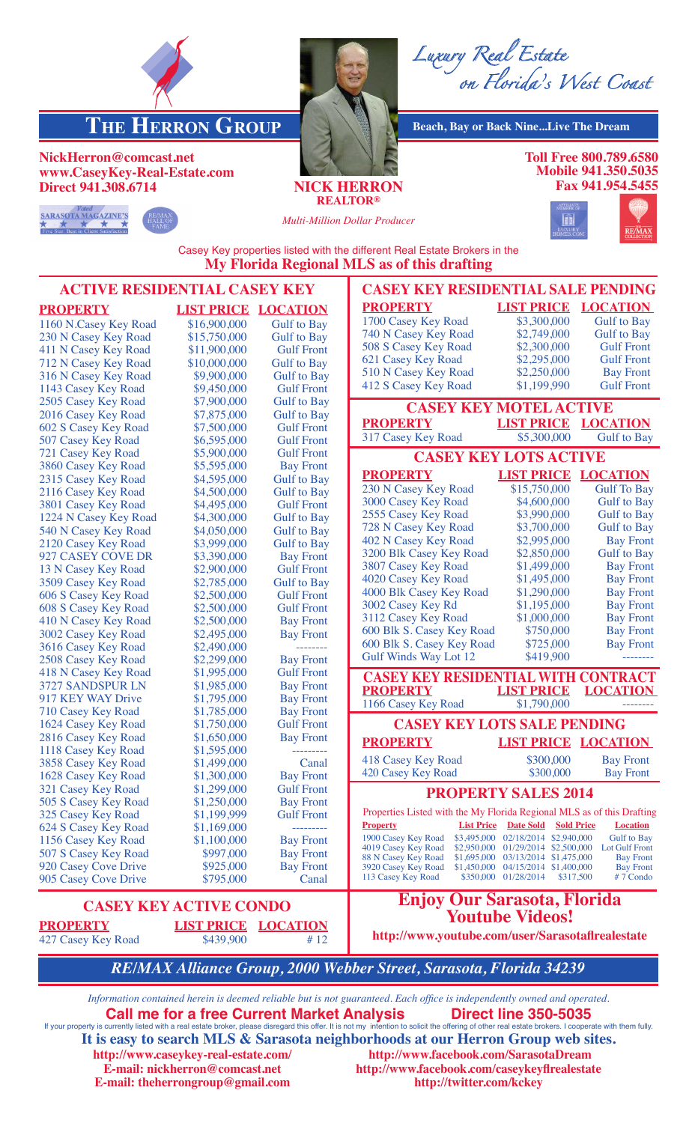



*Luxury Real Estate on Florida's West Coast*

**THE HERRON GROUP** Beach, Bay or Back Nine...Live The Dream

**Toll Free 800.789.6580 Mobile 941.350.5035 Fax 941.954.5455**



**NickHerron@comcast.net**

**www.CaseyKey-Real-Estate.com**



**Direct 941.308.6714 NICK HERRON**

**REALTOR®**

*Multi-Million Dollar Producer*



Casey Key properties listed with the different Real Estate Brokers in the **My Florida Regional MLS as of this drafting**

| <b>ACTIVE RESIDENTIAL CASEY KEY</b>                                                                                                                                           |                        |                    | <b>CASEY KEY RESIDENTIAL SALE PENDING</b>                              |                                                                         |                              |  |  |
|-------------------------------------------------------------------------------------------------------------------------------------------------------------------------------|------------------------|--------------------|------------------------------------------------------------------------|-------------------------------------------------------------------------|------------------------------|--|--|
| <b>PROPERTY</b>                                                                                                                                                               | <b>LIST PRICE</b>      | <b>LOCATION</b>    | <b>PROPERTY</b>                                                        |                                                                         | <b>LIST PRICE LOCATION</b>   |  |  |
| 1160 N.Casey Key Road                                                                                                                                                         | \$16,900,000           | <b>Gulf to Bay</b> | 1700 Casey Key Road                                                    | \$3,300,000                                                             | <b>Gulf</b> to Bay           |  |  |
| 230 N Casey Key Road                                                                                                                                                          | \$15,750,000           | <b>Gulf to Bay</b> | 740 N Casey Key Road                                                   | \$2,749,000                                                             | <b>Gulf</b> to Bay           |  |  |
| 411 N Casey Key Road                                                                                                                                                          | \$11,900,000           | <b>Gulf Front</b>  | 508 S Casey Key Road                                                   | \$2,300,000                                                             | <b>Gulf Front</b>            |  |  |
| 712 N Casey Key Road                                                                                                                                                          | \$10,000,000           | <b>Gulf to Bay</b> | 621 Casey Key Road                                                     | \$2,295,000                                                             | <b>Gulf Front</b>            |  |  |
| 316 N Casey Key Road                                                                                                                                                          | \$9,900,000            | <b>Gulf</b> to Bay | 510 N Casey Key Road                                                   | \$2,250,000                                                             | <b>Bay Front</b>             |  |  |
| 1143 Casey Key Road                                                                                                                                                           | \$9,450,000            | <b>Gulf Front</b>  | 412 S Casey Key Road                                                   | \$1,199,990                                                             | <b>Gulf Front</b>            |  |  |
| 2505 Casey Key Road                                                                                                                                                           | \$7,900,000            | <b>Gulf</b> to Bay | <b>CASEY KEY MOTEL ACTIVE</b>                                          |                                                                         |                              |  |  |
| 2016 Casey Key Road                                                                                                                                                           | \$7,875,000            | <b>Gulf to Bay</b> |                                                                        |                                                                         |                              |  |  |
| 602 S Casey Key Road                                                                                                                                                          | \$7,500,000            | <b>Gulf Front</b>  | <b>PROPERTY</b>                                                        | <b>LIST PRICE LOCATION</b>                                              |                              |  |  |
| 507 Casey Key Road                                                                                                                                                            | \$6,595,000            | <b>Gulf Front</b>  | 317 Casey Key Road                                                     | \$5,300,000                                                             | <b>Gulf to Bay</b>           |  |  |
| 721 Casey Key Road                                                                                                                                                            | \$5,900,000            | <b>Gulf Front</b>  | <b>CASEY KEY LOTS ACTIVE</b>                                           |                                                                         |                              |  |  |
| 3860 Casey Key Road                                                                                                                                                           | \$5,595,000            | <b>Bay Front</b>   |                                                                        |                                                                         |                              |  |  |
| 2315 Casey Key Road                                                                                                                                                           | \$4,595,000            | <b>Gulf</b> to Bay | <b>PROPERTY</b>                                                        | <b>LIST PRICE LOCATION</b>                                              |                              |  |  |
| 2116 Casey Key Road                                                                                                                                                           | \$4,500,000            | <b>Gulf to Bay</b> | 230 N Casey Key Road                                                   | \$15,750,000                                                            | <b>Gulf To Bay</b>           |  |  |
| 3801 Casey Key Road                                                                                                                                                           | \$4,495,000            | <b>Gulf Front</b>  | 3000 Casey Key Road                                                    | \$4,600,000                                                             | <b>Gulf</b> to Bay           |  |  |
| 1224 N Casey Key Road                                                                                                                                                         | \$4,300,000            | <b>Gulf</b> to Bay | 2555 Casey Key Road                                                    | \$3,990,000                                                             | <b>Gulf</b> to Bay           |  |  |
| 540 N Casey Key Road                                                                                                                                                          | \$4,050,000            | <b>Gulf to Bay</b> | 728 N Casey Key Road                                                   | \$3,700,000                                                             | <b>Gulf</b> to Bay           |  |  |
| 2120 Casey Key Road                                                                                                                                                           | \$3,999,000            | <b>Gulf</b> to Bay | 402 N Casey Key Road                                                   | \$2,995,000                                                             | <b>Bay Front</b>             |  |  |
| 927 CASEY COVE DR                                                                                                                                                             | \$3,390,000            | <b>Bay Front</b>   | 3200 Blk Casey Key Road                                                | \$2,850,000                                                             | <b>Gulf</b> to Bay           |  |  |
| 13 N Casey Key Road                                                                                                                                                           | \$2,900,000            | <b>Gulf Front</b>  | 3807 Casey Key Road                                                    | \$1,499,000                                                             | <b>Bay Front</b>             |  |  |
| 3509 Casey Key Road                                                                                                                                                           | \$2,785,000            | <b>Gulf</b> to Bay | 4020 Casey Key Road                                                    | \$1,495,000                                                             | <b>Bay Front</b>             |  |  |
| 606 S Casey Key Road                                                                                                                                                          | \$2,500,000            | <b>Gulf Front</b>  | 4000 Blk Casey Key Road                                                | \$1,290,000                                                             | <b>Bay Front</b>             |  |  |
| 608 S Casey Key Road                                                                                                                                                          | \$2,500,000            | <b>Gulf Front</b>  | 3002 Casey Key Rd                                                      | \$1,195,000                                                             | <b>Bay Front</b>             |  |  |
| 410 N Casey Key Road                                                                                                                                                          | \$2,500,000            | <b>Bay Front</b>   | 3112 Casey Key Road                                                    | \$1,000,000                                                             | <b>Bay Front</b>             |  |  |
| 3002 Casey Key Road                                                                                                                                                           | \$2,495,000            | <b>Bay Front</b>   | 600 Blk S. Casey Key Road                                              | \$750,000                                                               | <b>Bay Front</b>             |  |  |
| 3616 Casey Key Road                                                                                                                                                           | \$2,490,000            |                    | 600 Blk S. Casey Key Road                                              | \$725,000                                                               | <b>Bay Front</b>             |  |  |
| 2508 Casey Key Road                                                                                                                                                           | \$2,299,000            | <b>Bay Front</b>   | <b>Gulf Winds Way Lot 12</b>                                           | \$419,900                                                               |                              |  |  |
| 418 N Casey Key Road                                                                                                                                                          | \$1,995,000            | <b>Gulf Front</b>  | <b>CASEY KEY RESIDENTIAL WITH CONTRACT</b>                             |                                                                         |                              |  |  |
| 3727 SANDSPUR LN                                                                                                                                                              | \$1,985,000            | <b>Bay Front</b>   | <b>PROPERTY</b>                                                        | <b>LIST PRICE</b>                                                       | <b>LOCATION</b>              |  |  |
| 917 KEY WAY Drive                                                                                                                                                             | \$1,795,000            | <b>Bay Front</b>   | 1166 Casey Key Road                                                    | \$1,790,000                                                             |                              |  |  |
| 710 Casey Key Road                                                                                                                                                            | \$1,785,000            | <b>Bay Front</b>   |                                                                        |                                                                         |                              |  |  |
| 1624 Casey Key Road                                                                                                                                                           | \$1,750,000            | <b>Gulf Front</b>  | <b>CASEY KEY LOTS SALE PENDING</b>                                     |                                                                         |                              |  |  |
| 2816 Casey Key Road                                                                                                                                                           | \$1,650,000            | <b>Bay Front</b>   | <b>PROPERTY</b>                                                        |                                                                         | <b>LIST PRICE LOCATION</b>   |  |  |
| 1118 Casey Key Road                                                                                                                                                           | \$1,595,000            | ---------          | 418 Casey Key Road                                                     | \$300,000                                                               | <b>Bay Front</b>             |  |  |
| 3858 Casey Key Road                                                                                                                                                           | \$1,499,000            | Canal              | 420 Casey Key Road                                                     | \$300,000                                                               | <b>Bay Front</b>             |  |  |
| 1628 Casey Key Road                                                                                                                                                           | \$1,300,000            | <b>Bay Front</b>   |                                                                        |                                                                         |                              |  |  |
| 321 Casey Key Road                                                                                                                                                            | \$1,299,000            | <b>Gulf Front</b>  |                                                                        | <b>PROPERTY SALES 2014</b>                                              |                              |  |  |
| 505 S Casey Key Road                                                                                                                                                          | \$1,250,000            | <b>Bay Front</b>   | Properties Listed with the My Florida Regional MLS as of this Drafting |                                                                         |                              |  |  |
| 325 Casey Key Road                                                                                                                                                            | \$1,199,999            | <b>Gulf Front</b>  | <b>Property</b>                                                        | <b>List Price Date Sold Sold Price</b>                                  | <b>Location</b>              |  |  |
| 624 S Casey Key Road                                                                                                                                                          | \$1,169,000            |                    | 1900 Casey Key Road                                                    | \$3,495,000 02/18/2014 \$2,940,000                                      | <b>Gulf to Bay</b>           |  |  |
| 1156 Casey Key Road                                                                                                                                                           | \$1,100,000            | <b>Bay Front</b>   | 4019 Casey Key Road                                                    | \$2,950,000 01/29/2014 \$2,500,000                                      | Lot Gulf Front               |  |  |
| 507 S Casey Key Road                                                                                                                                                          | \$997,000              | <b>Bay Front</b>   | 88 N Casey Key Road                                                    | \$1,695,000 03/13/2014 \$1,475,000                                      | <b>Bay Front</b>             |  |  |
| 920 Casey Cove Drive                                                                                                                                                          | \$925,000<br>\$795,000 | <b>Bay Front</b>   | 3920 Casey Key Road<br>113 Casey Key Road                              | \$1,450,000 04/15/2014 \$1,400,000<br>\$350,000 01/28/2014<br>\$317,500 | <b>Bay Front</b><br>#7 Condo |  |  |
| 905 Casey Cove Drive                                                                                                                                                          |                        | Canal              |                                                                        |                                                                         |                              |  |  |
| <b>CASEY KEY ACTIVE CONDO</b>                                                                                                                                                 |                        |                    | <b>Enjoy Our Sarasota, Florida</b>                                     |                                                                         |                              |  |  |
| <b>LOCATION</b><br><b>PROPERTY</b><br><b>LIST PRICE</b>                                                                                                                       |                        |                    |                                                                        | <b>Youtube Videos!</b>                                                  |                              |  |  |
| 427 Casey Key Road                                                                                                                                                            | \$439,900              | #12                | http://www.youtube.com/user/Sarasotafirealestate                       |                                                                         |                              |  |  |
|                                                                                                                                                                               |                        |                    |                                                                        |                                                                         |                              |  |  |
| RE/MAX Alliance Group, 2000 Webber Street, Sarasota, Florida 34239                                                                                                            |                        |                    |                                                                        |                                                                         |                              |  |  |
| Information contained herein is deemed reliable but is not guaranteed. Each office is independently owned and operated.<br><b>Maulent Amplerate</b><br>Divisial line OFO FOOE |                        |                    |                                                                        |                                                                         |                              |  |  |

**Call me for a free Current Market Analysis** Direct line 350-5035<br>If your property is currently listed with a real estate broker, please disregard this offer. It is not my intention to solicit the offering of other real es **It is easy to search MLS & Sarasota neighborhoods at our Herron Group web sites. http://www.caseykey-real-estate.com/ http://www.facebook.com/SarasotaDream E-mail: nickherron@comcast.net http://www.facebook.com/caseykeyflrealestate E-mail: theherrongroup@gmail.com http://twitter.com/kckey**